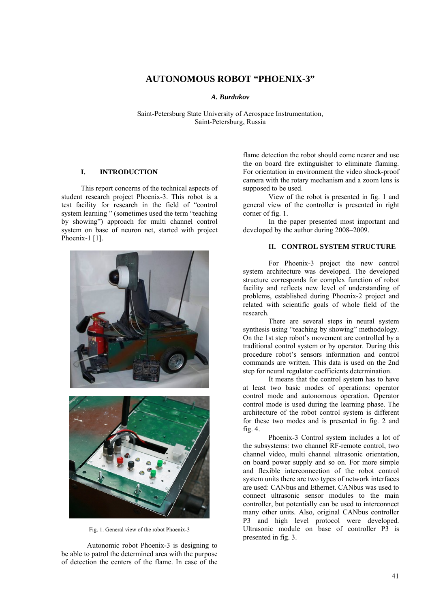# **AUTONOMOUS ROBOT "PHOENIX-3"**

## *A. Burdukov*

Saint-Petersburg State University of Aerospace Instrumentation, Saint-Petersburg, Russia

## **I. INTRODUCTION**

This report concerns of the technical aspects of student research project Phoenix-3. This robot is a test facility for research in the field of "control system learning " (sometimes used the term "teaching by showing") approach for multi channel control system on base of neuron net, started with project Phoenix-1 [1].



Fig. 1. General view of the robot Phoenix-3

Autonomic robot Phoenix-3 is designing to be able to patrol the determined area with the purpose of detection the centers of the flame. In case of the

flame detection the robot should come nearer and use the on board fire extinguisher to eliminate flaming. For orientation in environment the video shock-proof camera with the rotary mechanism and a zoom lens is supposed to be used.

View of the robot is presented in fig. 1 and general view of the controller is presented in right corner of fig. 1.

In the paper presented most important and developed by the author during 2008–2009.

# **II. CONTROL SYSTEM STRUCTURE**

For Phoenix-3 project the new control system architecture was developed. The developed structure corresponds for complex function of robot facility and reflects new level of understanding of problems, established during Phoenix-2 project and related with scientific goals of whole field of the research.

There are several steps in neural system synthesis using "teaching by showing" methodology. On the 1st step robot's movement are controlled by a traditional control system or by operator. During this procedure robot's sensors information and control commands are written. This data is used on the 2nd step for neural regulator coefficients determination.

It means that the control system has to have at least two basic modes of operations: operator control mode and autonomous operation. Operator control mode is used during the learning phase. The architecture of the robot control system is different for these two modes and is presented in fig. 2 and fig. 4.

Phoenix-3 Control system includes a lot of the subsystems: two channel RF-remote control, two channel video, multi channel ultrasonic orientation, on board power supply and so on. For more simple and flexible interconnection of the robot control system units there are two types of network interfaces are used: CANbus and Ethernet. CANbus was used to connect ultrasonic sensor modules to the main controller, but potentially can be used to interconnect many other units. Also, original CANbus controller P3 and high level protocol were developed. Ultrasonic module on base of controller P3 is presented in fig. 3.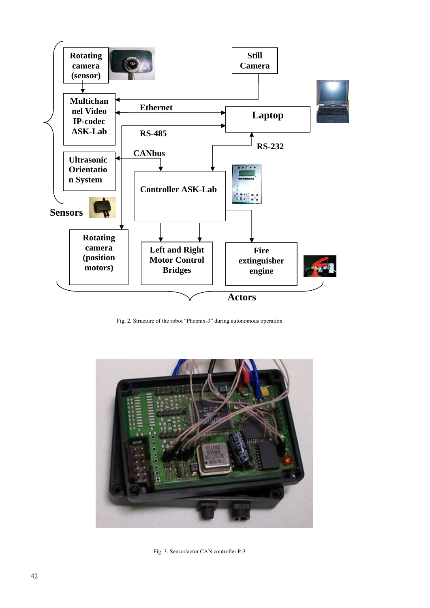

Fig. 2. Structure of the robot "Phoenix-3" during autonomous operation



Fig. 3. Sensor/actor CAN controller P-3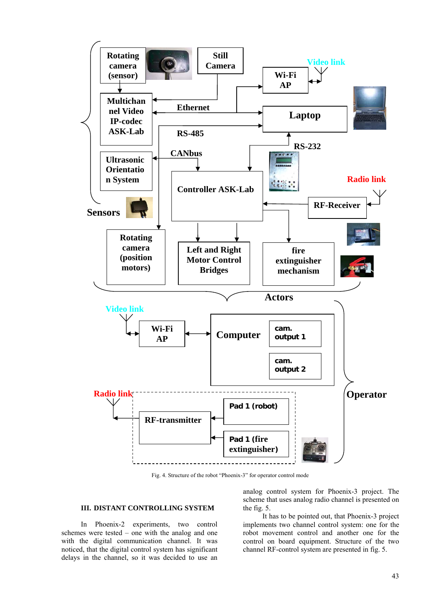

Fig. 4. Structure of the robot "Phoenix-3" for operator control mode

## **III. DISTANT CONTROLLING SYSTEM**

In Phoenix-2 experiments, two control schemes were tested – one with the analog and one with the digital communication channel. It was noticed, that the digital control system has significant delays in the channel, so it was decided to use an

analog control system for Phoenix-3 project. The scheme that uses analog radio channel is presented on the fig. 5.

It has to be pointed out, that Phoenix-3 project implements two channel control system: one for the robot movement control and another one for the control on board equipment. Structure of the two channel RF-control system are presented in fig. 5.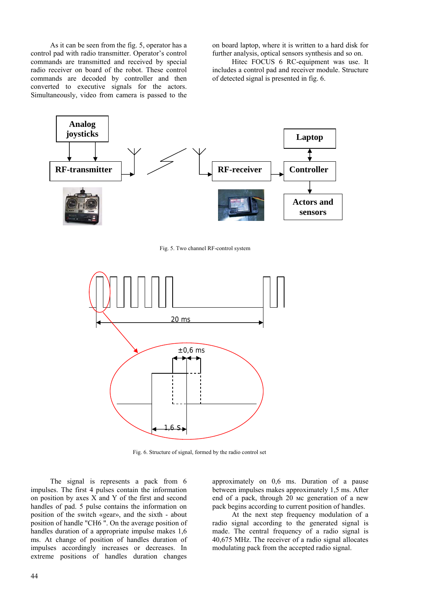As it can be seen from the fig. 5, operator has a control pad with radio transmitter. Operator's control commands are transmitted and received by special radio receiver on board of the robot. These control commands are decoded by controller and then converted to executive signals for the actors. Simultaneously, video from camera is passed to the

on board laptop, where it is written to a hard disk for further analysis, optical sensors synthesis and so on.

Hitec FOCUS 6 RC-equipment was use. It includes a control pad and receiver module. Structure of detected signal is presented in fig. 6.



Fig. 5. Two channel RF-control system



Fig. 6. Structure of signal, formed by the radio control set

The signal is represents a pack from 6 impulses. The first 4 pulses contain the information on position by axes X and Y of the first and second handles of pad. 5 pulse contains the information on position of the switch «gear», and the sixth - about position of handle "CH6 ". On the average position of handles duration of a appropriate impulse makes 1,6 ms. At change of position of handles duration of impulses accordingly increases or decreases. In extreme positions of handles duration changes

approximately on 0,6 ms. Duration of a pause between impulses makes approximately 1,5 ms. After end of a pack, through 20 мс generation of a new pack begins according to current position of handles.

At the next step frequency modulation of a radio signal according to the generated signal is made. The central frequency of a radio signal is 40,675 MHz. The receiver of a radio signal allocates modulating pack from the accepted radio signal.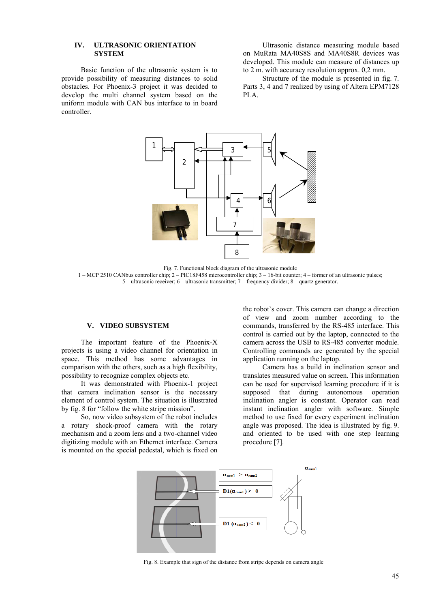## **IV. ULTRASONIC ORIENTATION SYSTEM**

Basic function of the ultrasonic system is to provide possibility of measuring distances to solid obstacles. For Phoenix-3 project it was decided to develop the multi channel system based on the uniform module with CAN bus interface to in board controller.

Ultrasonic distance measuring module based on MuRata MA40S8S and MA40S8R devices was developed. This module can measure of distances up to 2 m. with accuracy resolution approx. 0,2 mm.

Structure of the module is presented in fig. 7. Parts 3, 4 and 7 realized by using of Altera EPM7128 PLA.



Fig. 7. Functional block diagram of the ultrasonic module 1 – MCP 2510 CANbus controller chip; 2 – PIC18F458 microcontroller chip; 3 – 16-bit counter; 4 – former of an ultrasonic pulses; 5 – ultrasonic receiver; 6 – ultrasonic transmitter; 7 – frequency divider; 8 – quartz generator.

#### **V. VIDEO SUBSYSTEM**

The important feature of the Phoenix-X projects is using a video channel for orientation in space. This method has some advantages in comparison with the others, such as a high flexibility, possibility to recognize complex objects etc.

It was demonstrated with Phoenix-1 project that camera inclination sensor is the necessary element of control system. The situation is illustrated by fig. 8 for "follow the white stripe mission".

So, now video subsystem of the robot includes a rotary shock-proof camera with the rotary mechanism and a zoom lens and a two-channel video digitizing module with an Ethernet interface. Camera is mounted on the special pedestal, which is fixed on

the robot`s cover. This camera can change a direction of view and zoom number according to the commands, transferred by the RS-485 interface. This control is carried out by the laptop, connected to the camera across the USB to RS-485 converter module. Controlling commands are generated by the special application running on the laptop.

Camera has a build in inclination sensor and translates measured value on screen. This information can be used for supervised learning procedure if it is supposed that during autonomous operation inclination angler is constant. Operator can read instant inclination angler with software. Simple method to use fixed for every experiment inclination angle was proposed. The idea is illustrated by fig. 9. and oriented to be used with one step learning procedure [7].



Fig. 8. Example that sign of the distance from stripe depends on camera angle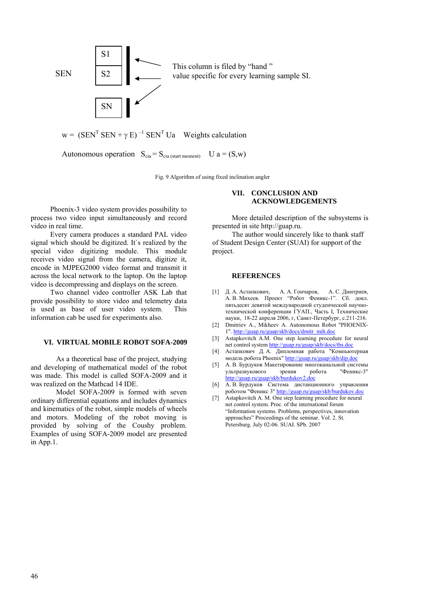

Fig. 9 Algorithm of using fixed inclination angler

Phoenix-3 video system provides possibility to process two video input simultaneously and record video in real time.

Every camera produces a standard PAL video signal which should be digitized. It`s realized by the special video digitizing module. This module receives video signal from the camera, digitize it, encode in MJPEG2000 video format and transmit it across the local network to the laptop. On the laptop video is decompressing and displays on the screen.

Two channel video controller ASK Lab that provide possibility to store video and telemetry data is used as base of user video system. This information cab be used for experiments also.

## **VI. VIRTUAL MOBILE ROBOT SOFA-2009**

As a theoretical base of the project, studying and developing of mathematical model of the robot was made. This model is called SOFA-2009 and it was realized on the Mathcad 14 IDE.

Model SOFA-2009 is formed with seven ordinary differential equations and includes dynamics and kinematics of the robot, simple models of wheels and motors. Modeling of the robot moving is provided by solving of the Coushy problem. Examples of using SOFA-2009 model are presented in App.1.

# **VII. CONCLUSION AND ACKNOWLEDGEMENTS**

More detailed description of the subsystems is presented in site http://guap.ru.

The author would sincerely like to thank staff of Student Design Center (SUAI) for support of the project.

#### **REFERENCES**

- [1] Д. А. Астапкович, А. А. Гончаров, А. С. Дмитриев, А. В. Михеев. Проект "Робот Феникс-1". Сб. докл. пятьдесят девятой международной студенческой научнотехнической конференции ГУАП., Часть I, Технические науки, 18-22 апреля 2006, г, Санкт-Петербург, с.211-216.
- [2] Dmitriev A., Mikheev A. Autonomous Robot "PHOENIX-1". http://guap.ru/guap/skb/docs/dmitr\_mih.doc
- [3] Astapkovitch A.M. One step learning procedure for neural net control system http://guap.ru/guap/skb/docs/tbs.doc
- [4] Астапкович Д. А. Дипломная работа "Компьютерная модель робота Phoenix" http://guap.ru/guap/skb/dip.doc
- [5] А. В. Бурдуков Макетирование многоканальной системы ультразвукового зрения робота "Феникс-3" http://guap.ru/guap/skb/burdukov2
- [6] А. В. Бурдуков Система дистанционного управления роботом "Феникс 3" http://guap.ru/guap/skb/burdukov.doc
- [7] Astapkovitch A. M. One step learning procedure for neural net control system. Proc. of the international forum "Information systems. Problems, perspectives, innovation approaches" Proceedings of the seminar. Vol. 2. St. Petersburg. July 02-06. SUAI. SPb. 2007